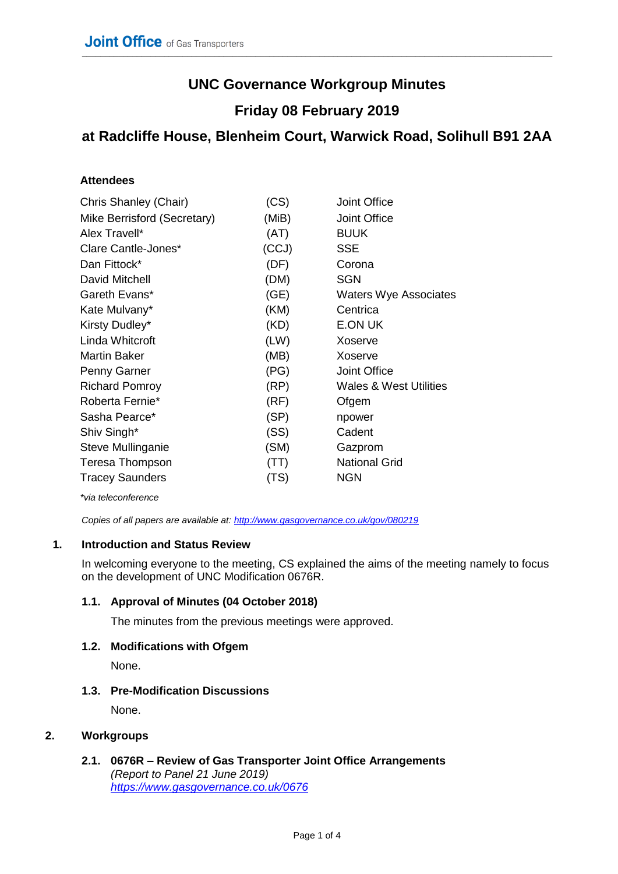# **UNC Governance Workgroup Minutes**

## **Friday 08 February 2019**

### **at Radcliffe House, Blenheim Court, Warwick Road, Solihull B91 2AA**

#### **Attendees**

| Chris Shanley (Chair)       | (CS)  | <b>Joint Office</b>               |
|-----------------------------|-------|-----------------------------------|
| Mike Berrisford (Secretary) | (MiB) | <b>Joint Office</b>               |
| Alex Travell*               | (AT)  | <b>BUUK</b>                       |
| Clare Cantle-Jones*         | (CCJ) | <b>SSE</b>                        |
| Dan Fittock*                | (DF)  | Corona                            |
| David Mitchell              | (DM)  | <b>SGN</b>                        |
| Gareth Evans*               | (GE)  | <b>Waters Wye Associates</b>      |
| Kate Mulvany*               | (KM)  | Centrica                          |
| Kirsty Dudley*              | (KD)  | E.ON UK                           |
| Linda Whitcroft             | (LW)  | Xoserve                           |
| <b>Martin Baker</b>         | (MB)  | Xoserve                           |
| Penny Garner                | (PG)  | <b>Joint Office</b>               |
| <b>Richard Pomroy</b>       | (RP)  | <b>Wales &amp; West Utilities</b> |
| Roberta Fernie*             | (RF)  | Ofgem                             |
| Sasha Pearce*               | (SP)  | npower                            |
| Shiv Singh*                 | (SS)  | Cadent                            |
| Steve Mullinganie           | (SM)  | Gazprom                           |
| Teresa Thompson             | (TT)  | <b>National Grid</b>              |
| <b>Tracey Saunders</b>      | (TS)  | <b>NGN</b>                        |

*\*via teleconference*

*Copies of all papers are available at: <http://www.gasgovernance.co.uk/gov/080219>*

#### **1. Introduction and Status Review**

In welcoming everyone to the meeting, CS explained the aims of the meeting namely to focus on the development of UNC Modification 0676R.

#### **1.1. Approval of Minutes (04 October 2018)**

The minutes from the previous meetings were approved.

#### **1.2. Modifications with Ofgem**

None.

#### **1.3. Pre-Modification Discussions**

None.

#### **2. Workgroups**

**2.1. 0676R – Review of Gas Transporter Joint Office Arrangements** *(Report to Panel 21 June 2019) <https://www.gasgovernance.co.uk/0676>*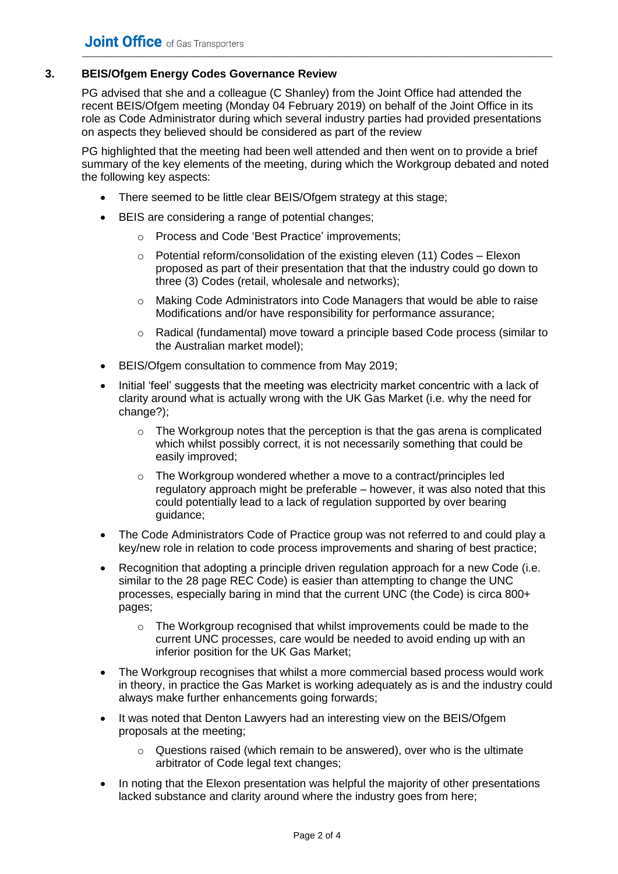#### **3. BEIS/Ofgem Energy Codes Governance Review**

PG advised that she and a colleague (C Shanley) from the Joint Office had attended the recent BEIS/Ofgem meeting (Monday 04 February 2019) on behalf of the Joint Office in its role as Code Administrator during which several industry parties had provided presentations on aspects they believed should be considered as part of the review

PG highlighted that the meeting had been well attended and then went on to provide a brief summary of the key elements of the meeting, during which the Workgroup debated and noted the following key aspects:

- There seemed to be little clear BEIS/Ofgem strategy at this stage;
- BEIS are considering a range of potential changes;
	- o Process and Code 'Best Practice' improvements;
	- o Potential reform/consolidation of the existing eleven (11) Codes Elexon proposed as part of their presentation that that the industry could go down to three (3) Codes (retail, wholesale and networks);
	- o Making Code Administrators into Code Managers that would be able to raise Modifications and/or have responsibility for performance assurance;
	- o Radical (fundamental) move toward a principle based Code process (similar to the Australian market model);
- BEIS/Ofgem consultation to commence from May 2019;
- Initial 'feel' suggests that the meeting was electricity market concentric with a lack of clarity around what is actually wrong with the UK Gas Market (i.e. why the need for change?);
	- $\circ$  The Workgroup notes that the perception is that the gas arena is complicated which whilst possibly correct, it is not necessarily something that could be easily improved;
	- o The Workgroup wondered whether a move to a contract/principles led regulatory approach might be preferable – however, it was also noted that this could potentially lead to a lack of regulation supported by over bearing guidance;
- The Code Administrators Code of Practice group was not referred to and could play a key/new role in relation to code process improvements and sharing of best practice;
- Recognition that adopting a principle driven regulation approach for a new Code (i.e. similar to the 28 page REC Code) is easier than attempting to change the UNC processes, especially baring in mind that the current UNC (the Code) is circa 800+ pages;
	- $\circ$  The Workgroup recognised that whilst improvements could be made to the current UNC processes, care would be needed to avoid ending up with an inferior position for the UK Gas Market;
- The Workgroup recognises that whilst a more commercial based process would work in theory, in practice the Gas Market is working adequately as is and the industry could always make further enhancements going forwards;
- It was noted that Denton Lawyers had an interesting view on the BEIS/Ofgem proposals at the meeting;
	- $\circ$  Questions raised (which remain to be answered), over who is the ultimate arbitrator of Code legal text changes;
- In noting that the Elexon presentation was helpful the majority of other presentations lacked substance and clarity around where the industry goes from here;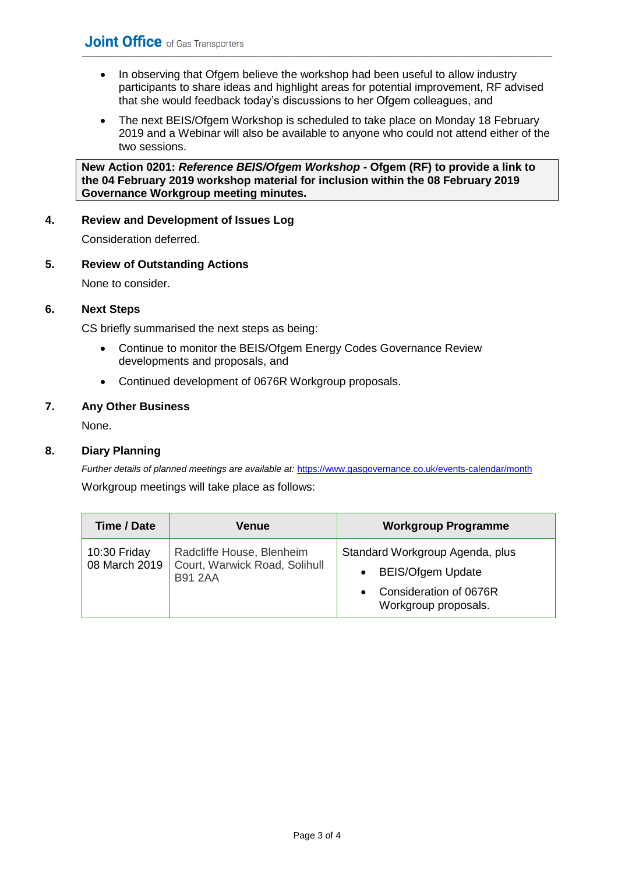- In observing that Ofgem believe the workshop had been useful to allow industry participants to share ideas and highlight areas for potential improvement, RF advised that she would feedback today's discussions to her Ofgem colleagues, and
- The next BEIS/Ofgem Workshop is scheduled to take place on Monday 18 February 2019 and a Webinar will also be available to anyone who could not attend either of the two sessions.

**New Action 0201:** *Reference BEIS/Ofgem Workshop -* **Ofgem (RF) to provide a link to the 04 February 2019 workshop material for inclusion within the 08 February 2019 Governance Workgroup meeting minutes.**

#### **4. Review and Development of Issues Log**

Consideration deferred.

#### **5. Review of Outstanding Actions**

None to consider.

#### **6. Next Steps**

CS briefly summarised the next steps as being:

- Continue to monitor the BEIS/Ofgem Energy Codes Governance Review developments and proposals, and
- Continued development of 0676R Workgroup proposals.

#### **7. Any Other Business**

None.

#### **8. Diary Planning**

*Further details of planned meetings are available at: <https://www.gasgovernance.co.uk/events-calendar/month>* 

Workgroup meetings will take place as follows:

| Time / Date                   | Venue                                                                        | <b>Workgroup Programme</b>                                                                                    |
|-------------------------------|------------------------------------------------------------------------------|---------------------------------------------------------------------------------------------------------------|
| 10:30 Friday<br>08 March 2019 | Radcliffe House, Blenheim<br>Court, Warwick Road, Solihull<br><b>B91 2AA</b> | Standard Workgroup Agenda, plus<br><b>BEIS/Ofgem Update</b><br>Consideration of 0676R<br>Workgroup proposals. |